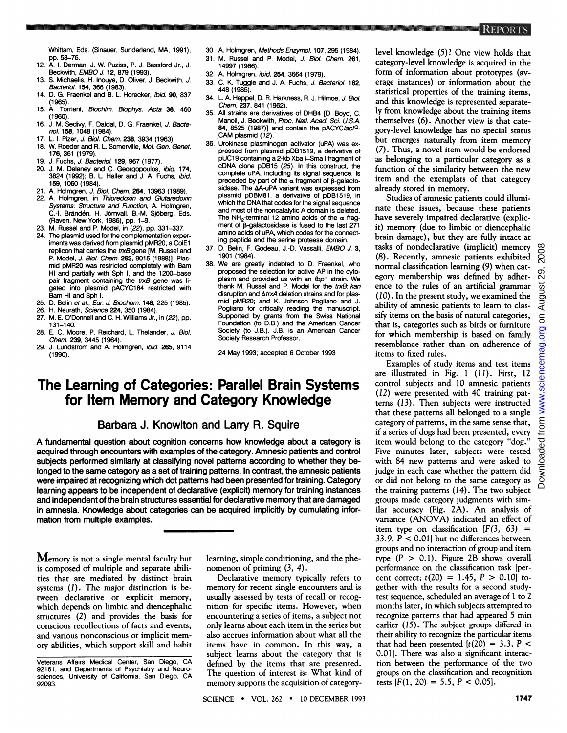Whittam, Eds. (Sinauer, Sunderland, MA, 1991). pp. 58-76.

- 12. A. I. Derman, J. W. Puziss, P. J. Bassford Jr., J. Beckwith, EMBO J. 12, 879 (1993).
- 13. S. Michaelis, H. Inouye, D. Oliver, J. Beckwith, J. Bacteriol. 154, 366 (1983).
- 14. D. G. Fraenkel and B. L. Horecker, ibid. 90, 837 (1965).
- 15. A. Torriani, Biochim. Biophys. Acta 38, 460 (1960).
- 16. J. M. Sedivy, F. Daldal, D. G. Fraenkel, J. Bacteriol. 158, 1048 (1984).
- 17. L. I. Pizer, J. Biol. Chem. 238, 3934 (1963).<br>18. W. Roeder and R. L. Somerville. Mol. Gen. 0
- W. Roeder and R. L. Somerville, Mol. Gen. Genet. 176, 361 (1979).
- 19. J. Fuchs, J. Bacteriol. 129, 967 (1977).
- 20. J. M. Delaney and C. Georgopoulos, ibid. 174, 3824 (1992); B. L. Hailer and J. A. Fuchs, ibid. 159,1060 (1984).
- . A. Holmgren, J. Biol. Chem. 264, 13963 (1989).
- 22. A. Holmgren, in Thioredoxin and Glutaredoxin Systems: Structure and Function, A. Holmgren, C.-I. Brändén, H. Jörnvall, B.-M. Sjöberg, Eds. (Raven, New York, 1986), pp. 1-9.
- 23. M. Russel and P. Model, in (22), pp. 331-337.
- 24. The plasmid used for the complementation experiments was derived from plasmid pMR20, a ColEl replicon that carries the  $trxB$  gene [M. Russel and P. Model, J. Biol. Chem. 263, 9015 (1988)]. Plasmid pMR20 was restricted completely with Bam Hi and partially with Sph I, and the 1200-base pair fragment containing the trxB gene was ligated into plasmid pACYC184 restricted with Bam HI and Sph I.
- 25. D. Belin et al., Eur. J. Biochem. 148, 225 (1985).
- 26. H. Neurath, Science 224, 350 (1984).
- 27. M. E. O'Donnell and C. H. Williams Jr., in (22), pp. 131-140.
- 28. E. C. Moore, P. Reichard, L. Thelander, J. Biol. Chem. 239, 3445 (1964).
- 29. J. Lundström and A. Holmgren, ibid. 265, 9114 (1990).
- 30. A. Holmgren, Methods Enzymol. 107, 295 (1984). 31. M. Russel and P. Model, J. Biol. Chem. 261, 14997 (1986).
- 32. A. Holmgren, ibid. 254, 3664 (1979).
- 33. C. K. Tuggle and J. A. Fuchs, J. Bacteriol. 162,
- 448 (1985).
- 34. L. A. Heppel, D. R. Harkness, R. J. Hilmoe, J. Biol. Chem. 237, 841 (1962).
- 35. All strains are derivatives of DHB4 [D. Boyd, C. Manoil, J. Beckwith, Proc. Nati. Acad. Sci. U.S.A. 84, 8525 (1987)] and contain the pACYClacl<sup>Q</sup>-CAM plasmid (12).
- 36. Urokinase plasminogen activator (uPA) was expressed from plasmid pDB1519, a derivative of pUC19 containing a 2-kb Xba I-Sma I fragment of cDNA clone pDB15 (25). In this construct, the complete uPA, including its signal sequence, is preceded by part of the  $\alpha$  fragment of  $\beta$ -galactosidase. The AA-uPA variant was expressed from plasmid pDBM81, a derivative of pDB1519, in which the DNA that codes for the signal sequence and most of the noncatalytic A domain is deleted. The NH<sub>2</sub>-terminal 12 amino acids of the  $\alpha$  fragment of  $\beta$ -galactosidase is fused to the last 271 amino acids of uPA, which codes for the connecting peptide and the serine protease domain.
- 37. D. Belin, F. Godeau, J.-D. Vassalli, EMBO J. 3, 1901 (1984).
- 38. We are greatly indebted to D. Fraenkel, who proposed the selection for active AP in the cytoplasm and provided us with an  $fbp -$  strain. We thank M. Russel and P. Model for the trxB::kan disruption and AtrxA deletion strains and for plasmid pMR20; and K. Johnson Pogliano and J. Pogliano for critically reading the manuscript. Supported by grants from the Swiss National Foundation (to D.B.) and the American Cancer Society (to J.B.). J.B. is an American Cancer Society Research Professor.

24 May 1993; accepted 6 October 1993

## The Learning of Categories: Parallel Brain Systems for Item Memory and Category Knowledge

## Barbara J. Knowlton and Larry R. Squire

A fundamental question about cognition concerns how knowledge about a category is acquired through encounters with examples of the category. Amnesic patients and control subjects performed similarly at classifying novel patterns according to whether they belonged to the same category as a set of training patterns. In contrast, the amnesic patients were impaired at recognizing which dot patterns had been presented for training. Category learning appears to be independent of declarative (explicit) memory for training instances and independent of the brain structures essential for declarative memory that are damaged in amnesia. Knowledge about categories can be acquired implicitly by cumulating information from multiple examples.

Memory is not a single mental faculty but is composed of multiple and separate abilities that are mediated by distinct brain systems (1). The major distinction is between declarative or explicit memory, which depends on limbic and diencephalic structures (2) and provides the basis for conscious recollections of facts and events, and various nonconscious or implicit memory abilities, which support skill and habit

learning, simple conditioning, and the phenomenon of priming  $(3, 4)$ .

Declarative memory typically refers to memory for recent single encounters and is usually assessed by tests of recall or recognition for specific items. However, when encountering a series of items, a subject not only learns about each item in the series but also accrues information about what all the items have in common. In this way, a subject learns about the category that is defined by the items that are presented. The question of interest is: What kind of memory supports the acquisition of category-

level knowledge (5)? One view holds that category-level knowledge is acquired in the form of information about prototypes (average instances) or information about the statistical properties of the training items, and this knowledge is represented separately from knowledge about the training items themselves (6). Another view is that category-level knowledge has no special status but emerges naturally from item memory (7). Thus, a novel item would be endorsed as belonging to a particular category as a function of the similarity between the new item and the exemplars of that category already stored in memory.

Studies of amnesic patients could illuminate these issues, because these patients have severely impaired declarative (explicit) memory (due to limbic or diencephalic brain damage), but they are fully intact at tasks of nondeclarative (implicit) memory (8). Recently, amnesic patients exhibited normal classification learning (9) when category membership was defined by adherence to the rules of an artificial grammar (10). In the present study, we examined the ability of amnesic patients to learn to classify items on the basis of natural categories, that is, categories such as birds or furniture for which membership is based on family resemblance rather than on adherence of items to fixed rules.

Examples of study items and test items are illustrated in Fig. <sup>1</sup> (11). First, 12 control subjects and 10 amnesic patients (12) were presented with 40 training pattems (13). Then subjects were instructed that these patterns all belonged to a single category of patterns, in the same sense that, if a series of dogs had been presented, every item would belong to the category "dog." Five minutes later, subjects were tested with 84 new patterns and were asked to judge in each case whether the pattern did or did not belong to the same category as the training patterns (14). The two subject groups made category judgments with similar accuracy (Fig. 2A). An analysis of variance (ANOVA) indicated an effect of item type on classification  $[F(3, 63) =$ 33.9,  $P < 0.01$ ] but no differences between groups and no interaction of group and item type  $(P > 0.1)$ . Figure 2B shows overall performance on the classification task [percent correct;  $t(20) = 1.45$ ,  $P > 0.10$  together with the results for a second studytest sequence, scheduled an average of <sup>1</sup> to 2 months later, in which subjects attempted to recognize patterns that had appeared 5 min earlier (15). The subject groups differed in their ability to recognize the particular items that had been presented  $[t(20) = 3.3, P <$ 0.011. There was also a significant interaction between the performance of the two groups on the classification and recognition tests  $[F(1, 20) = 5.5, P < 0.05]$ .

www.sciencemag.orgon August 29, 2008

from www.sciencemag.org on

2008

August 29,

Downloaded from

ownloaded

Veterans Affairs Medical Center, San Diego, CA 92161, and Departments of Psychiatry and Neurosciences, University of California, San Diego, CA 92093.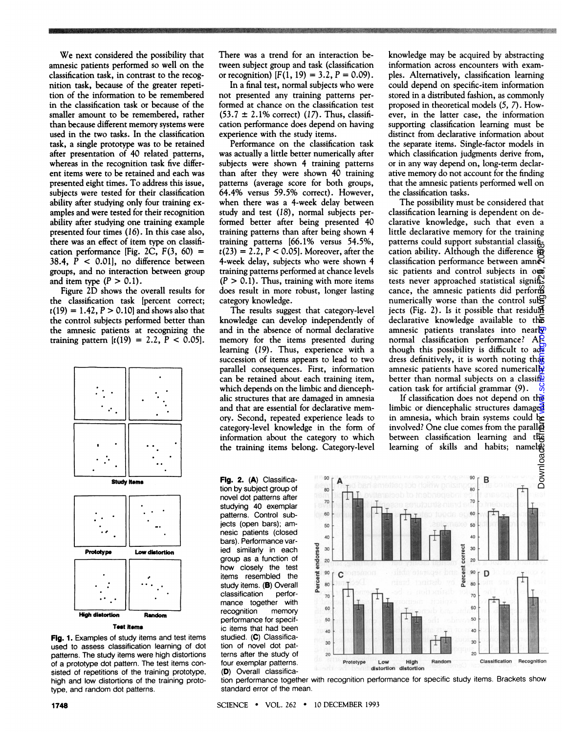We next considered the possibility that amnesic patients performed so well on the classification task, in contrast to the recognition task, because of the greater repetition of the information to be remembered in the classification task or because of the smaller amount to be remembered, rather than because different memory systems were used in the two tasks. In the classification task, a single prototype was to be retained after presentation of 40 related patterns, whereas in the recognition task five different items were to be retained and each was presented eight times. To address this issue, subjects were tested for their classification ability after studying only four training examples and were tested for their recognition ability after studying one training example presented four times (16). In this case also, there was an effect of item type on classification performance [Fig. 2C,  $F(3, 60) =$ 38.4,  $P < 0.01$ , no difference between groups, and no interaction between group and item type  $(P > 0.1)$ .

Figure 2D shows the overall results for the classification task [percent correct;  $t(19) = 1.42$ ,  $P > 0.10$  and shows also that the control subjects performed better than the amnesic patients at recognizing the training pattern  $[t(19) = 2.2, P < 0.05]$ .



Fig. 1. Examples of study items and test items used to assess classification learning of dot patterns. The study items were high distortions of a prototype dot pattern. The test items consisted of repetitions of the training prototype, high and low distortions of the training prototype, and random dot patterns.

There was a trend for an interaction between subject group and task (classification or recognition)  $[F(1, 19) = 3.2, P = 0.09)$ .

In a final test, normal subjects who were not presented any training patterns performed at chance on the classification test  $(53.7 \pm 2.1\%$  correct) (17). Thus, classification performance does depend on having experience with the study items.

Performance on the classification task was actually a little better numerically after subjects were shown 4 training patterns than after they were shown 40 training patterns (average score for both groups, 64.4% versus 59.5% correct). However, when there was a 4-week delay between study and test (18), normal subjects performed better after being presented 40 training patterns than after being shown 4 training patterns [66.1% versus 54.5%,  $t(23) = 2.2, P < 0.05$ . Moreover, after the 4-week delay, subjects who were shown 4 training patterns performed at chance levels  $(P > 0.1)$ . Thus, training with more items does result in more robust, longer lasting category knowledge.

The results suggest that category-level knowledge can develop independently of and in the absence of normal declarative memory for the items presented during learning (19). Thus, experience with a succession of items appears to lead to two parallel consequences. First, information can be retained about each training item, which depends on the limbic and diencephalic structures that are damaged in amnesia and that are essential for declarative memory. Second, repeated experience leads to category-level knowledge in the form of information about the category to which the training items belong. Category-level

knowledge may be acquired by abstracting information across encounters with examples. Alternatively, classification learning could depend on specific-item information stored in a distributed fashion, as commonly proposed in theoretical models (5, 7). However, in the latter case, the information supporting classification learning must be distinct from declarative information about the separate items. Single-factor models in which classification judgments derive from, or in any way depend on, long-term declarative memory do not account for the finding that the amnesic patients performed well on the classification tasks.

1

The possibility must be considered that classification learning is dependent on declarative knowledge, such that even a little declarative memory for the training patterns could support substantial classification ability. Although the difference  $\ddot{p}$ classification performance between amney sic patients and control subjects in our tests never approached statistical significance, the amnesic patients did perform numerically worse than the control subjects (Fig. 2). Is it possible that residual declarative knowledge available to the amnesic patients translates into nearly normal classification performance?  $AR$ though this possibility is difficult to  $a\overline{d\overline{b}}$ dress definitively, it is worth noting that amnesic patients have scored numerically better than normal subjects on a classifucation task for artificial grammar  $(9)$ . vavasciencemagioneg oneAugust 29, 2008 w

If classification does not depend on the limbic or diencephalic structures damaged in amnesia, which brain systems could be involved? One clue comes from the parall $\vec{a}$ between classification learning and the learning of skills and habits; namel Downloaded from R

Fig. 2. (A) Classifica- $^{90}$ studying 40 exemplar nesic patients (closed  $0$   $\frac{1}{40}$ bars). Performance varhow closely the test<br>items resembled the<br>study items.  $(B)$  Overall items resembled the  $\frac{2}{9}$  study items. (B) Overall performance for speciftion of novel dot pat- $(D)$  Overall classifica-



tion performance together with recognition performance for specific study items. Brackets show standard error of the mean.